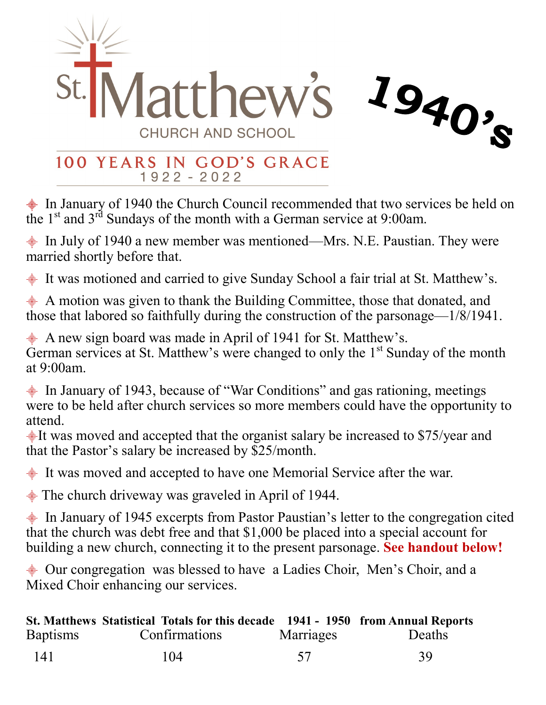

## 100 YEARS IN GOD'S GRACE  $1922 - 2022$

 $\triangleq$  In January of 1940 the Church Council recommended that two services be held on the  $1<sup>st</sup>$  and  $3<sup>rd</sup>$  Sundays of the month with a German service at 9:00am.

 $\frac{1}{2}$  In July of 1940 a new member was mentioned—Mrs. N.E. Paustian. They were married shortly before that.

 $\triangleq$  It was motioned and carried to give Sunday School a fair trial at St. Matthew's.

 $\triangleq$  A motion was given to thank the Building Committee, those that donated, and those that labored so faithfully during the construction of the parsonage—1/8/1941.

⸎A new sign board was made in April of 1941 for St. Matthew's. German services at St. Matthew's were changed to only the 1<sup>st</sup> Sunday of the month at 9:00am.

⸎In January of 1943, because of "War Conditions" and gas rationing, meetings were to be held after church services so more members could have the opportunity to attend.

 $\frac{1}{2}$ It was moved and accepted that the organist salary be increased to \$75/year and that the Pastor's salary be increased by \$25/month.

 $\triangleq$  **It was moved and accepted to have one Memorial Service after the war.** 

 $\triangleq$  The church driveway was graveled in April of 1944.

 $\frac{1}{2}$  In January of 1945 excerpts from Pastor Paustian's letter to the congregation cited that the church was debt free and that \$1,000 be placed into a special account for building a new church, connecting it to the present parsonage. **See handout below!**

 $\triangleq$  Our congregation was blessed to have a Ladies Choir, Men's Choir, and a Mixed Choir enhancing our services.

|                 | St. Matthews Statistical Totals for this decade 1941 - 1950 from Annual Reports |           |        |
|-----------------|---------------------------------------------------------------------------------|-----------|--------|
| <b>Baptisms</b> | Confirmations                                                                   | Marriages | Deaths |
| 141             | 104                                                                             | 57        | 39     |